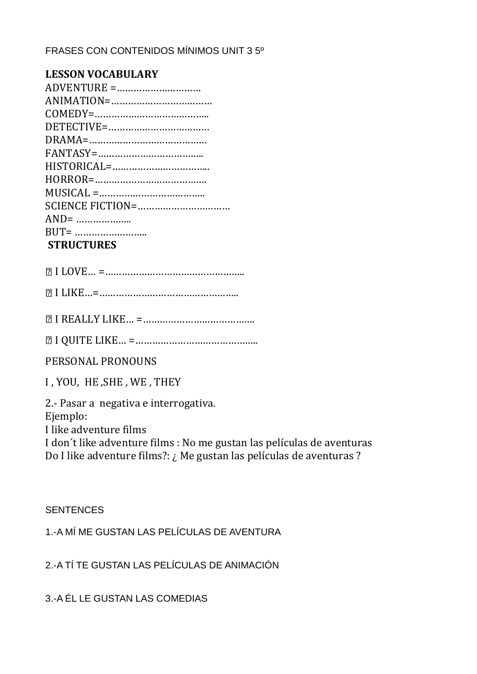## FRASES CON CONTENIDOS MÍNIMOS UNIT 3 5º

| <b>LESSON VOCABULARY</b> |
|--------------------------|
|                          |
|                          |
|                          |
|                          |
|                          |
|                          |
|                          |
|                          |
|                          |
|                          |
|                          |
|                          |
| <b>STRUCTURES</b>        |

# I LOVE… =…………………………………………..

I LIKE…=…………………………………………..

I REALLY LIKE… =………………………………….

I QUITE LIKE… =……………………………………..

PERSONAL PRONOUNS

I , YOU, HE ,SHE , WE , THEY

2.- Pasar a negativa e interrogativa. Ejemplo: I like adventure films I don´t like adventure films : No me gustan las películas de aventuras Do I like adventure films?: ¿ Me gustan las películas de aventuras ?

#### **SENTENCES**

1.-A MÍ ME GUSTAN LAS PELÍCULAS DE AVENTURA

2.-A TÍ TE GUSTAN LAS PELÍCULAS DE ANIMACIÓN

3.-A ÉL LE GUSTAN LAS COMEDIAS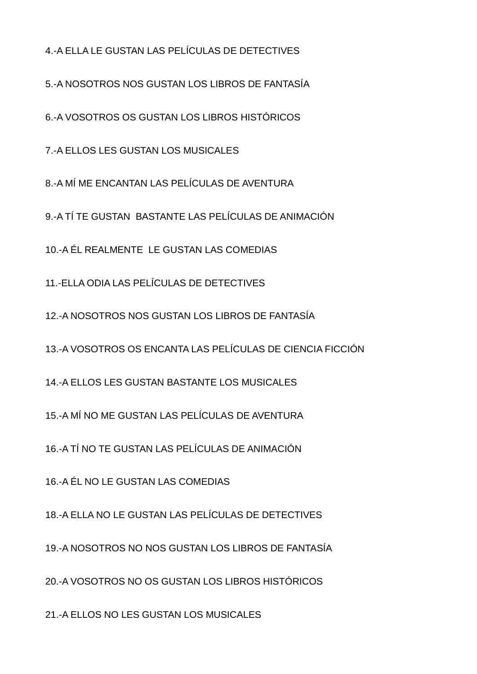4.-A ELLA LE GUSTAN LAS PELÍCULAS DE DETECTIVES

5.-A NOSOTROS NOS GUSTAN LOS LIBROS DE FANTASÍA

6.-A VOSOTROS OS GUSTAN LOS LIBROS HISTÓRICOS

7.-A ELLOS LES GUSTAN LOS MUSICALES

8.-A MÍ ME ENCANTAN LAS PELÍCULAS DE AVENTURA

9.-A TÍ TE GUSTAN BASTANTE LAS PELÍCULAS DE ANIMACIÓN

10.-A ÉL REALMENTE LE GUSTAN LAS COMEDIAS

11.-ELLA ODIA LAS PELÍCULAS DE DETECTIVES

12.-A NOSOTROS NOS GUSTAN LOS LIBROS DE FANTASÍA

13.-A VOSOTROS OS ENCANTA LAS PELÍCULAS DE CIENCIA FICCIÓN

14.-A ELLOS LES GUSTAN BASTANTE LOS MUSICALES

15.-A MÍ NO ME GUSTAN LAS PELÍCULAS DE AVENTURA

16.-A TÍ NO TE GUSTAN LAS PELÍCULAS DE ANIMACIÓN

16.-A ÉL NO LE GUSTAN LAS COMEDIAS

18.-A ELLA NO LE GUSTAN LAS PELÍCULAS DE DETECTIVES

19.-A NOSOTROS NO NOS GUSTAN LOS LIBROS DE FANTASÍA

20.-A VOSOTROS NO OS GUSTAN LOS LIBROS HISTÓRICOS

21.-A ELLOS NO LES GUSTAN LOS MUSICALES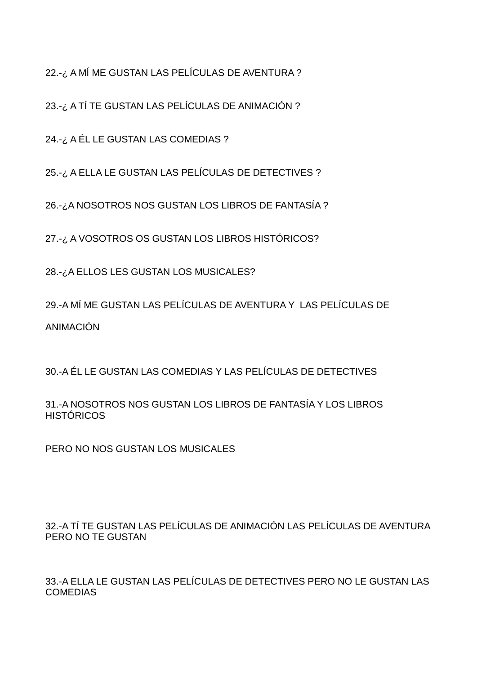22.-¿ A MÍ ME GUSTAN LAS PELÍCULAS DE AVENTURA ?

23.-¿ A TÍ TE GUSTAN LAS PELÍCULAS DE ANIMACIÓN ?

24.-¿ A ÉL LE GUSTAN LAS COMEDIAS ?

25.-¿ A ELLA LE GUSTAN LAS PELÍCULAS DE DETECTIVES ?

26.-¿A NOSOTROS NOS GUSTAN LOS LIBROS DE FANTASÍA ?

27.-¿ A VOSOTROS OS GUSTAN LOS LIBROS HISTÓRICOS?

28.-¿A ELLOS LES GUSTAN LOS MUSICALES?

29.-A MÍ ME GUSTAN LAS PELÍCULAS DE AVENTURA Y LAS PELÍCULAS DE ANIMACIÓN

30.-A ÉL LE GUSTAN LAS COMEDIAS Y LAS PELÍCULAS DE DETECTIVES

31.-A NOSOTROS NOS GUSTAN LOS LIBROS DE FANTASÍA Y LOS LIBROS **HISTÓRICOS** 

PERO NO NOS GUSTAN LOS MUSICALES

32.-A TÍ TE GUSTAN LAS PELÍCULAS DE ANIMACIÓN LAS PELÍCULAS DE AVENTURA PERO NO TE GUSTAN

33.-A ELLA LE GUSTAN LAS PELÍCULAS DE DETECTIVES PERO NO LE GUSTAN LAS COMEDIAS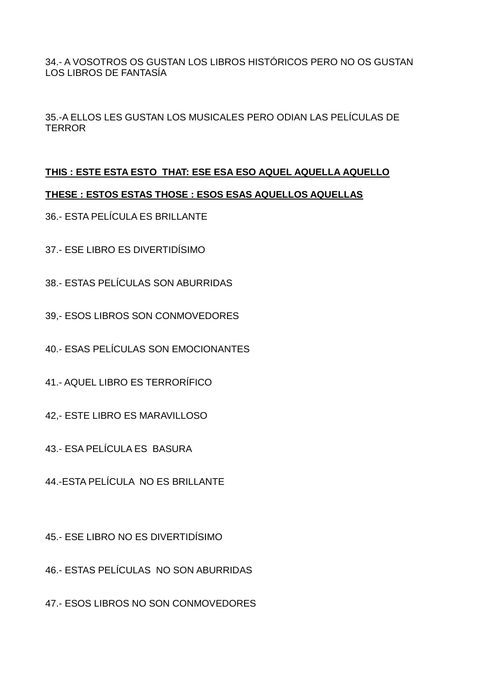34.- A VOSOTROS OS GUSTAN LOS LIBROS HISTÓRICOS PERO NO OS GUSTAN LOS LIBROS DE FANTASÍA

35.-A ELLOS LES GUSTAN LOS MUSICALES PERO ODIAN LAS PELÍCULAS DE **TERROR** 

### **THIS : ESTE ESTA ESTO THAT: ESE ESA ESO AQUEL AQUELLA AQUELLO**

#### **THESE : ESTOS ESTAS THOSE : ESOS ESAS AQUELLOS AQUELLAS**

- 36.- ESTA PELÍCULA ES BRILLANTE
- 37.- ESE LIBRO ES DIVERTIDÍSIMO
- 38.- ESTAS PELÍCULAS SON ABURRIDAS
- 39,- ESOS LIBROS SON CONMOVEDORES
- 40.- ESAS PELÍCULAS SON EMOCIONANTES
- 41.- AQUEL LIBRO ES TERRORÍFICO
- 42,- ESTE LIBRO ES MARAVILLOSO
- 43.- ESA PELÍCULA ES BASURA
- 44.-ESTA PELÍCULA NO ES BRILLANTE
- 45.- ESE LIBRO NO ES DIVERTIDÍSIMO
- 46.- ESTAS PELÍCULAS NO SON ABURRIDAS
- 47.- ESOS LIBROS NO SON CONMOVEDORES